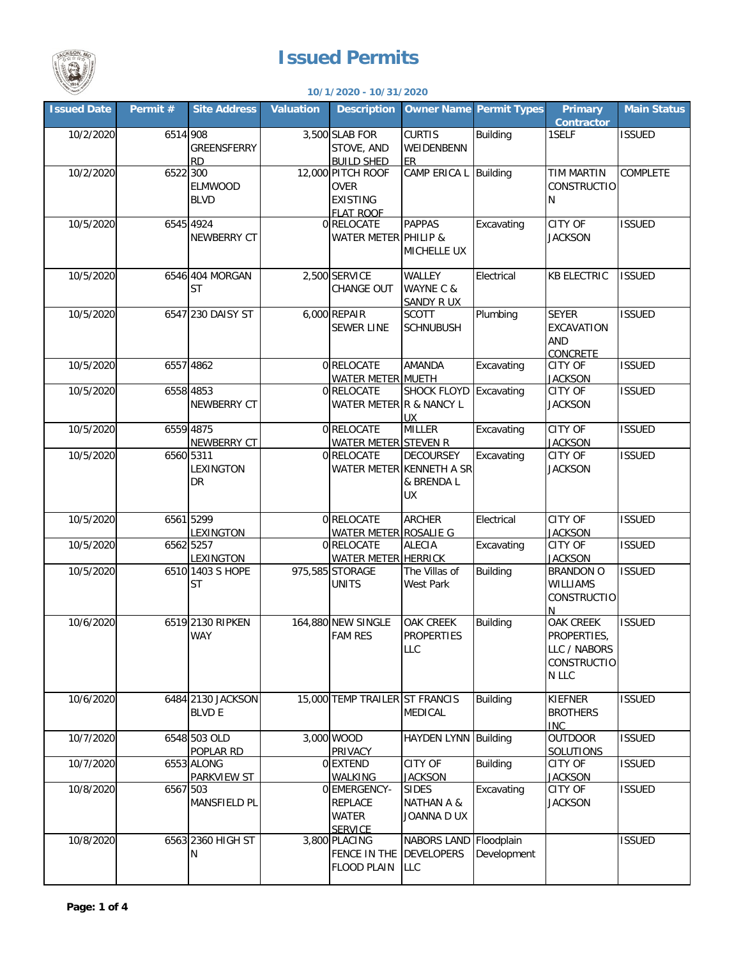

## **Issued Permits**

## **10/1/2020 - 10/31/2020**

| <b>Issued Date</b> | Permit # | <b>Site Address</b>                | <b>Valuation</b> | <b>Description</b>                                                      |                                                                         | <b>Owner Name Permit Types</b> | <b>Primary</b><br><b>Contractor</b>                                            | <b>Main Status</b> |
|--------------------|----------|------------------------------------|------------------|-------------------------------------------------------------------------|-------------------------------------------------------------------------|--------------------------------|--------------------------------------------------------------------------------|--------------------|
| 10/2/2020          | 6514 908 | GREENSFERRY<br><b>RD</b>           |                  | 3,500 SLAB FOR<br>STOVE, AND<br><b>BUILD SHED</b>                       | <b>CURTIS</b><br>WEIDENBENN<br><b>ER</b>                                | <b>Building</b>                | 1SELF                                                                          | <b>ISSUED</b>      |
| 10/2/2020          | 6522 300 | <b>ELMWOOD</b><br><b>BLVD</b>      |                  | 12,000 PITCH ROOF<br><b>OVER</b><br><b>EXISTING</b><br><b>FLAT ROOF</b> | CAMP ERICA L                                                            | Building                       | <b>TIM MARTIN</b><br><b>CONSTRUCTIO</b><br>Ν                                   | COMPLETE           |
| 10/5/2020          |          | 6545 4924<br>NEWBERRY CT           |                  | 0 RELOCATE<br>WATER METER PHILIP &                                      | <b>PAPPAS</b><br>MICHELLE UX                                            | Excavating                     | <b>CITY OF</b><br><b>JACKSON</b>                                               | <b>ISSUED</b>      |
| 10/5/2020          |          | 6546 404 MORGAN<br><b>ST</b>       |                  | 2,500 SERVICE<br>CHANGE OUT                                             | WALLEY<br>WAYNE C &<br>SANDY R UX                                       | Electrical                     | <b>KB ELECTRIC</b>                                                             | <b>ISSUED</b>      |
| 10/5/2020          |          | 6547 230 DAISY ST                  |                  | 6,000 REPAIR<br><b>SEWER LINE</b>                                       | <b>SCOTT</b><br><b>SCHNUBUSH</b>                                        | Plumbing                       | <b>SEYER</b><br>EXCAVATION<br>AND<br>CONCRETE                                  | <b>ISSUED</b>      |
| 10/5/2020          |          | 6557 4862                          |                  | 0 RELOCATE<br><b>WATER METER MUETH</b>                                  | <b>AMANDA</b>                                                           | Excavating                     | CITY OF<br><b>JACKSON</b>                                                      | <b>ISSUED</b>      |
| 10/5/2020          |          | 6558 4853<br><b>NEWBERRY CT</b>    |                  | 0 RELOCATE<br>WATER METER R & NANCY L                                   | <b>SHOCK FLOYD</b><br><b>UX</b>                                         | Excavating                     | CITY OF<br><b>JACKSON</b>                                                      | <b>ISSUED</b>      |
| 10/5/2020          |          | 6559 4875<br>NEWBERRY CT           |                  | 0 RELOCATE<br>WATER METER STEVEN R                                      | <b>MILLER</b>                                                           | Excavating                     | <b>CITY OF</b><br><b>JACKSON</b>                                               | <b>ISSUED</b>      |
| 10/5/2020          |          | 6560 5311<br>LEXINGTON<br>DR       |                  | 0 RELOCATE                                                              | <b>DECOURSEY</b><br>WATER METER KENNETH A SR<br>& BRENDA L<br><b>UX</b> | Excavating                     | CITY OF<br><b>JACKSON</b>                                                      | <b>ISSUED</b>      |
| 10/5/2020          |          | 6561 5299<br><b>LEXINGTON</b>      |                  | 0 RELOCATE<br>WATER METER ROSALIE G                                     | <b>ARCHER</b>                                                           | Electrical                     | <b>CITY OF</b><br><b>JACKSON</b>                                               | <b>ISSUED</b>      |
| 10/5/2020          |          | 6562 5257<br><b>LEXINGTON</b>      |                  | 0 RELOCATE<br>WATER METER HERRICK                                       | <b>ALECIA</b>                                                           | Excavating                     | CITY OF<br><b>JACKSON</b>                                                      | <b>ISSUED</b>      |
| 10/5/2020          |          | 6510 1403 S HOPE<br><b>ST</b>      |                  | 975,585 STORAGE<br><b>UNITS</b>                                         | The Villas of<br><b>West Park</b>                                       | <b>Building</b>                | <b>BRANDON O</b><br><b>WILLIAMS</b><br>CONSTRUCTIO<br>N                        | <b>ISSUED</b>      |
| 10/6/2020          |          | 6519 2130 RIPKEN<br><b>WAY</b>     |                  | 164,880 NEW SINGLE<br><b>FAM RES</b>                                    | OAK CREEK<br><b>PROPERTIES</b><br><b>LLC</b>                            | <b>Building</b>                | <b>OAK CREEK</b><br>PROPERTIES,<br>LLC / NABORS<br><b>CONSTRUCTIO</b><br>N LLC | <b>ISSUED</b>      |
| 10/6/2020          |          | 6484 2130 JACKSON<br><b>BLVD E</b> |                  | 15,000 TEMP TRAILER ST FRANCIS                                          | MEDICAL                                                                 | <b>Building</b>                | <b>KIEFNER</b><br><b>BROTHERS</b><br><b>INC</b>                                | <b>ISSUED</b>      |
| 10/7/2020          |          | 6548 503 OLD<br>POPLAR RD          |                  | 3,000 WOOD<br>PRIVACY                                                   | <b>HAYDEN LYNN</b>                                                      | <b>Building</b>                | <b>OUTDOOR</b><br><b>SOLUTIONS</b>                                             | <b>ISSUED</b>      |
| 10/7/2020          |          | 6553 ALONG<br>PARKVIEW ST          |                  | 0 EXTEND<br>WALKING                                                     | <b>CITY OF</b><br><b>JACKSON</b>                                        | <b>Building</b>                | CITY OF<br><b>JACKSON</b>                                                      | <b>ISSUED</b>      |
| 10/8/2020          | 6567 503 | MANSFIELD PL                       |                  | <b>O EMERGENCY-</b><br>REPLACE<br><b>WATER</b><br><b>SERVICE</b>        | <b>SIDES</b><br><b>NATHAN A &amp;</b><br>JOANNA D UX                    | Excavating                     | CITY OF<br><b>JACKSON</b>                                                      | <b>ISSUED</b>      |
| 10/8/2020          |          | 6563 2360 HIGH ST<br>N             |                  | 3,800 PLACING<br>FENCE IN THE<br>FLOOD PLAIN                            | NABORS LAND<br><b>DEVELOPERS</b><br><b>LLC</b>                          | Floodplain<br>Development      |                                                                                | <b>ISSUED</b>      |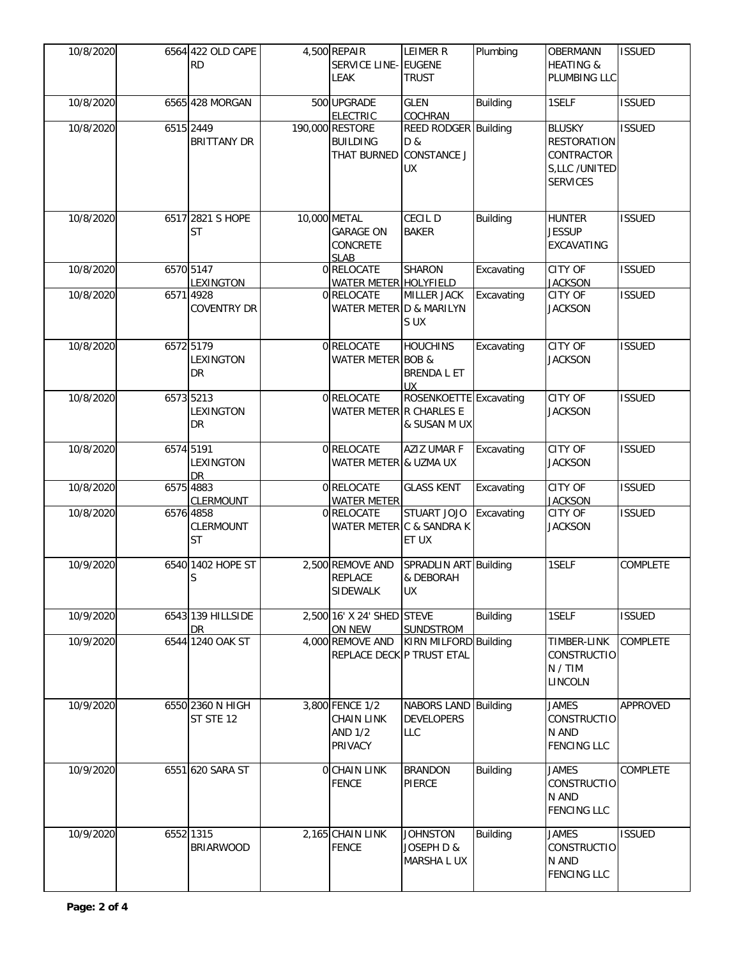| 10/8/2020 | 6564 422 OLD CAPE<br><b>RD</b>      | 4,500 REPAIR<br>SERVICE LINE- EUGENE<br>LEAK                      | <b>LEIMER R</b><br><b>TRUST</b>                          | Plumbing        | OBERMANN<br><b>HEATING &amp;</b><br>PLUMBING LLC                                      | <b>ISSUED</b>   |
|-----------|-------------------------------------|-------------------------------------------------------------------|----------------------------------------------------------|-----------------|---------------------------------------------------------------------------------------|-----------------|
| 10/8/2020 | 6565 428 MORGAN                     | 500 UPGRADE<br><b>ELECTRIC</b>                                    | <b>GLEN</b><br>COCHRAN                                   | <b>Building</b> | 1SELF                                                                                 | <b>ISSUED</b>   |
| 10/8/2020 | 6515 2449<br><b>BRITTANY DR</b>     | 190,000 RESTORE<br><b>BUILDING</b><br>THAT BURNED                 | REED RODGER Building<br>D &<br><b>CONSTANCE J</b><br>UX. |                 | <b>BLUSKY</b><br><b>RESTORATION</b><br>CONTRACTOR<br>S,LLC /UNITED<br><b>SERVICES</b> | <b>ISSUED</b>   |
| 10/8/2020 | 6517 2821 S HOPE<br>ST              | 10,000 METAL<br><b>GARAGE ON</b><br>CONCRETE<br><b>SLAB</b>       | CECIL D<br><b>BAKER</b>                                  | <b>Building</b> | <b>HUNTER</b><br><b>JESSUP</b><br>EXCAVATING                                          | <b>ISSUED</b>   |
| 10/8/2020 | 6570 5147<br><b>LEXINGTON</b>       | 0 RELOCATE<br><b>WATER METER HOLYFIELD</b>                        | <b>SHARON</b>                                            | Excavating      | CITY OF<br><b>JACKSON</b>                                                             | <b>ISSUED</b>   |
| 10/8/2020 | 6571 4928<br><b>COVENTRY DR</b>     | 0 RELOCATE<br>WATER METER D & MARILYN                             | MILLER JACK<br>S UX                                      | Excavating      | CITY OF<br><b>JACKSON</b>                                                             | <b>ISSUED</b>   |
| 10/8/2020 | 6572 5179<br>LEXINGTON<br><b>DR</b> | 0 RELOCATE<br><b>WATER METER</b>                                  | <b>HOUCHINS</b><br>BOB &<br><b>BRENDA L ET</b><br>UX     | Excavating      | <b>CITY OF</b><br><b>JACKSON</b>                                                      | <b>ISSUED</b>   |
| 10/8/2020 | 6573 5213<br>LEXINGTON<br>DR        | 0 RELOCATE<br>WATER METER R CHARLES E                             | ROSENKOETTE Excavating<br>& SUSAN M UX                   |                 | <b>CITY OF</b><br><b>JACKSON</b>                                                      | <b>ISSUED</b>   |
| 10/8/2020 | 6574 5191<br>LEXINGTON<br><b>DR</b> | 0 RELOCATE<br>WATER METER & UZMA UX                               | <b>AZIZ UMAR F</b>                                       | Excavating      | CITY OF<br><b>JACKSON</b>                                                             | <b>ISSUED</b>   |
| 10/8/2020 | 6575 4883<br><b>CLERMOUNT</b>       | 0 RELOCATE<br><b>WATER METER</b>                                  | <b>GLASS KENT</b>                                        | Excavating      | CITY OF<br><b>JACKSON</b>                                                             | <b>ISSUED</b>   |
| 10/8/2020 | 6576 4858<br>CLERMOUNT<br>ST        | 0 RELOCATE                                                        | STUART JOJO<br>WATER METER C & SANDRA K<br>ET UX         | Excavating      | CITY OF<br><b>JACKSON</b>                                                             | <b>ISSUED</b>   |
| 10/9/2020 | 6540 1402 HOPE ST<br>S              | 2,500 REMOVE AND<br><b>REPLACE</b><br><b>SIDEWALK</b>             | SPRADLIN ART Building<br>& DEBORAH<br><b>UX</b>          |                 | 1SELF                                                                                 | COMPLETE        |
| 10/9/2020 | 6543 139 HILLSIDE<br><b>DR</b>      | 2,500 16' X 24' SHED STEVE<br>ON NEW                              | <b>SUNDSTROM</b>                                         | <b>Building</b> | 1SELF                                                                                 | <b>ISSUED</b>   |
| 10/9/2020 | 6544 1240 OAK ST                    | 4,000 REMOVE AND                                                  | KIRN MILFORD Building<br>REPLACE DECK P TRUST ETAL       |                 | TIMBER-LINK<br>CONSTRUCTIO<br>N / TIM<br>LINCOLN                                      | <b>COMPLETE</b> |
| 10/9/2020 | 6550 2360 N HIGH<br>ST STE 12       | 3,800 FENCE 1/2<br><b>CHAIN LINK</b><br><b>AND 1/2</b><br>PRIVACY | NABORS LAND Building<br><b>DEVELOPERS</b><br>LLC         |                 | <b>JAMES</b><br><b>CONSTRUCTIO</b><br>N AND<br><b>FENCING LLC</b>                     | <b>APPROVED</b> |
| 10/9/2020 | 6551 620 SARA ST                    | O CHAIN LINK<br><b>FENCE</b>                                      | <b>BRANDON</b><br>PIERCE                                 | <b>Building</b> | <b>JAMES</b><br><b>CONSTRUCTIO</b><br>N AND<br><b>FENCING LLC</b>                     | <b>COMPLETE</b> |
| 10/9/2020 | 6552 1315<br><b>BRIARWOOD</b>       | 2,165 CHAIN LINK<br><b>FENCE</b>                                  | <b>JOHNSTON</b><br>JOSEPH D &<br>MARSHA L UX             | <b>Building</b> | <b>JAMES</b><br>CONSTRUCTIO<br>N AND<br><b>FENCING LLC</b>                            | <b>ISSUED</b>   |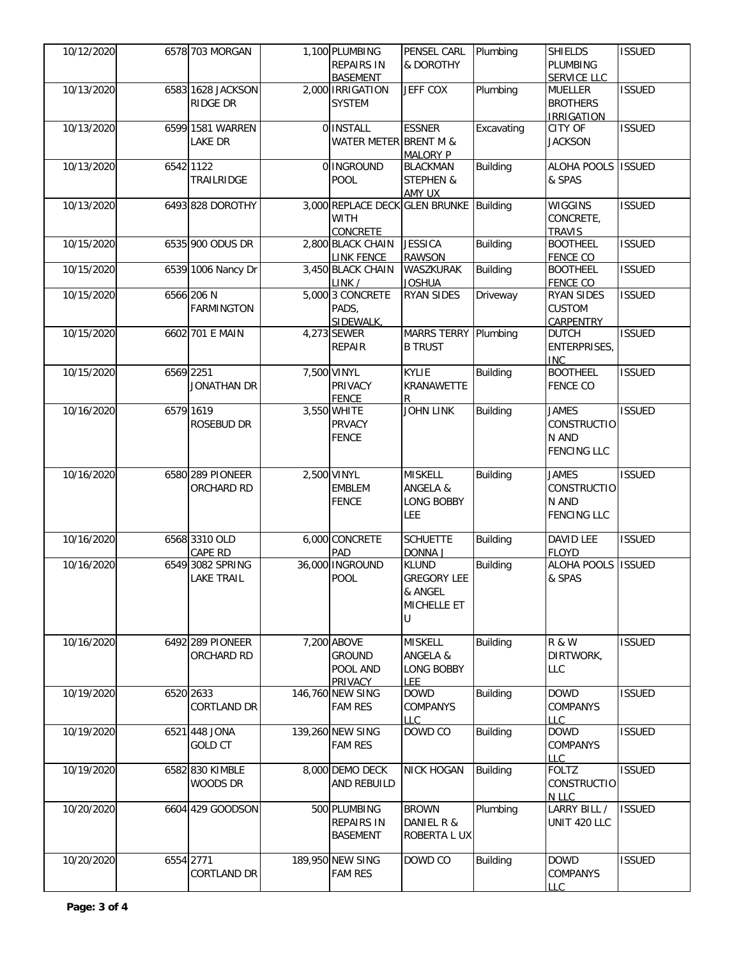| 10/12/2020 | 6578 703 MORGAN                       | 1,100 PLUMBING<br><b>REPAIRS IN</b>                        | PENSEL CARL<br>& DOROTHY                                          | Plumbing        | <b>SHIELDS</b><br><b>PLUMBING</b>                                 | <b>ISSUED</b> |
|------------|---------------------------------------|------------------------------------------------------------|-------------------------------------------------------------------|-----------------|-------------------------------------------------------------------|---------------|
| 10/13/2020 | 6583 1628 JACKSON<br><b>RIDGE DR</b>  | <b>BASEMENT</b><br>2,000 IRRIGATION<br><b>SYSTEM</b>       | <b>JEFF COX</b>                                                   | Plumbing        | <b>SERVICE LLC</b><br><b>MUELLER</b><br><b>BROTHERS</b>           | <b>ISSUED</b> |
| 10/13/2020 | 6599 1581 WARREN                      | 0 INSTALL                                                  | <b>ESSNER</b>                                                     | Excavating      | <b>IRRIGATION</b><br>CITY OF                                      | <b>ISSUED</b> |
|            | <b>LAKE DR</b>                        | WATER METER BRENT M &                                      | <b>MALORY P</b>                                                   |                 | <b>JACKSON</b>                                                    |               |
| 10/13/2020 | 6542 1122<br>TRAILRIDGE               | 0 INGROUND<br>POOL                                         | <b>BLACKMAN</b><br><b>STEPHEN &amp;</b><br>AMY UX                 | <b>Building</b> | ALOHA POOLS<br>& SPAS                                             | <b>ISSUED</b> |
| 10/13/2020 | 6493 828 DOROTHY                      | <b>WITH</b><br><b>CONCRETE</b>                             | 3,000 REPLACE DECK GLEN BRUNKE Building                           |                 | <b>WIGGINS</b><br>CONCRETE.<br><b>TRAVIS</b>                      | <b>ISSUED</b> |
| 10/15/2020 | 6535 900 ODUS DR                      | 2,800 BLACK CHAIN<br><b>LINK FENCE</b>                     | <b>JESSICA</b><br><b>RAWSON</b>                                   | <b>Building</b> | <b>BOOTHEEL</b><br><b>FENCE CO</b>                                | <b>ISSUED</b> |
| 10/15/2020 | 6539 1006 Nancy Dr                    | 3,450 BLACK CHAIN<br>LINK /                                | WASZKURAK<br><b>JOSHUA</b>                                        | <b>Building</b> | <b>BOOTHEEL</b><br><b>FENCE CO</b>                                | <b>ISSUED</b> |
| 10/15/2020 | 6566 206 N<br><b>FARMINGTON</b>       | 5,000 3 CONCRETE<br>PADS,<br>SIDEWALK,                     | <b>RYAN SIDES</b>                                                 | Driveway        | <b>RYAN SIDES</b><br><b>CUSTOM</b><br><b>CARPENTRY</b>            | <b>ISSUED</b> |
| 10/15/2020 | 6602 701 E MAIN                       | 4,273 SEWER<br><b>REPAIR</b>                               | MARRS TERRY Plumbing<br><b>B TRUST</b>                            |                 | <b>DUTCH</b><br>ENTERPRISES,<br><b>INC</b>                        | <b>ISSUED</b> |
| 10/15/2020 | 6569 2251<br><b>JONATHAN DR</b>       | 7,500 VINYL<br>PRIVACY<br><b>FENCE</b>                     | <b>KYLIE</b><br>KRANAWETTE<br>R                                   | <b>Building</b> | <b>BOOTHEEL</b><br><b>FENCE CO</b>                                | <b>ISSUED</b> |
| 10/16/2020 | 6579 1619<br><b>ROSEBUD DR</b>        | 3,550 WHITE<br><b>PRVACY</b><br><b>FENCE</b>               | <b>JOHN LINK</b>                                                  | <b>Building</b> | <b>JAMES</b><br><b>CONSTRUCTIO</b><br>N AND<br><b>FENCING LLC</b> | <b>ISSUED</b> |
| 10/16/2020 | 6580 289 PIONEER<br>ORCHARD RD        | 2,500 VINYL<br><b>EMBLEM</b><br><b>FENCE</b>               | <b>MISKELL</b><br>ANGELA &<br><b>LONG BOBBY</b><br><b>LEE</b>     | <b>Building</b> | <b>JAMES</b><br><b>CONSTRUCTIO</b><br>N AND<br><b>FENCING LLC</b> | <b>ISSUED</b> |
| 10/16/2020 | 6568 3310 OLD<br>CAPE RD              | 6,000 CONCRETE<br>PAD                                      | <b>SCHUETTE</b><br>DONNA J                                        | <b>Building</b> | <b>DAVID LEE</b><br><b>FLOYD</b>                                  | <b>ISSUED</b> |
| 10/16/2020 | 6549 3082 SPRING<br><b>LAKE TRAIL</b> | 36,000 INGROUND<br>POOL                                    | <b>KLUND</b><br><b>GREGORY LEE</b><br>& ANGEL<br>MICHELLE ET<br>U | <b>Building</b> | <b>ALOHA POOLS</b><br>& SPAS                                      | <b>ISSUED</b> |
| 10/16/2020 | 6492 289 PIONEER<br>ORCHARD RD        | 7,200 ABOVE<br><b>GROUND</b><br>POOL AND<br><b>PRIVACY</b> | <b>MISKELL</b><br>ANGELA &<br><b>LONG BOBBY</b><br>LEE.           | <b>Building</b> | <b>R &amp; W</b><br>DIRTWORK,<br>LLC                              | <b>ISSUED</b> |
| 10/19/2020 | 6520 2633<br><b>CORTLAND DR</b>       | 146,760 NEW SING<br><b>FAM RES</b>                         | <b>DOWD</b><br>COMPANYS<br>LLC                                    | <b>Building</b> | <b>DOWD</b><br><b>COMPANYS</b><br><b>LLC</b>                      | <b>ISSUED</b> |
| 10/19/2020 | 6521 448 JONA<br><b>GOLD CT</b>       | 139,260 NEW SING<br><b>FAM RES</b>                         | DOWD CO                                                           | <b>Building</b> | <b>DOWD</b><br>COMPANYS<br><b>LLC</b>                             | <b>ISSUED</b> |
| 10/19/2020 | 6582 830 KIMBLE<br>WOODS DR           | 8,000 DEMO DECK<br>AND REBUILD                             | <b>NICK HOGAN</b>                                                 | <b>Building</b> | <b>FOLTZ</b><br>CONSTRUCTIO<br>N LLC                              | <b>ISSUED</b> |
| 10/20/2020 | 6604 429 GOODSON                      | 500 PLUMBING<br><b>REPAIRS IN</b><br><b>BASEMENT</b>       | <b>BROWN</b><br>DANIEL R &<br>ROBERTA L UX                        | Plumbing        | LARRY BILL /<br>UNIT 420 LLC                                      | <b>ISSUED</b> |
| 10/20/2020 | 6554 2771<br>CORTLAND DR              | 189,950 NEW SING<br><b>FAM RES</b>                         | DOWD CO                                                           | <b>Building</b> | <b>DOWD</b><br>COMPANYS<br>LLC                                    | <b>ISSUED</b> |